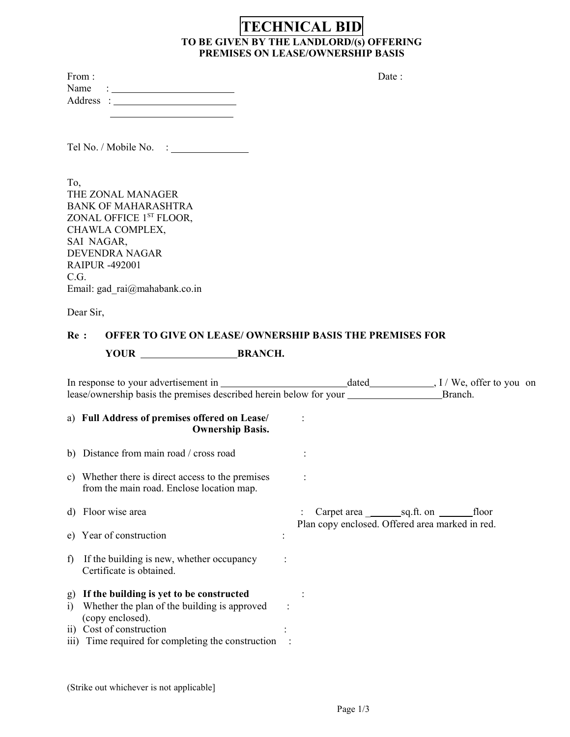# **TECHNICAL BID TO BE GIVEN BY THE LANDLORD/(s) OFFERING PREMISES ON LEASE/OWNERSHIP BASIS**

| the control of the control of the control of the control of the control of |                                                        |
|----------------------------------------------------------------------------|--------------------------------------------------------|
|                                                                            |                                                        |
| To,<br>THE ZONAL MANAGER<br><b>BANK OF MAHARASHTRA</b>                     |                                                        |
| ZONAL OFFICE 1ST FLOOR,<br>CHAWLA COMPLEX,                                 |                                                        |
| SAI NAGAR,<br><b>DEVENDRA NAGAR</b>                                        |                                                        |
| <b>RAIPUR -492001</b>                                                      |                                                        |
| C.G.<br>Email: gad $rai@$ mahabank.co.in                                   |                                                        |
| Dear Sir,                                                                  |                                                        |
|                                                                            | Re: OFFER TO GIVE ON LEASE/ OWNERSHIP BASIS THE PREMIS |

# **READURER IS NOTE ONE PREMISES FOR** YOUR BRANCH.

|                                                                       |                                                                                                                                                                                                                                                                           | Branch.                                                                                                                                                                                                                           |
|-----------------------------------------------------------------------|---------------------------------------------------------------------------------------------------------------------------------------------------------------------------------------------------------------------------------------------------------------------------|-----------------------------------------------------------------------------------------------------------------------------------------------------------------------------------------------------------------------------------|
| <b>Ownership Basis.</b>                                               |                                                                                                                                                                                                                                                                           |                                                                                                                                                                                                                                   |
|                                                                       |                                                                                                                                                                                                                                                                           |                                                                                                                                                                                                                                   |
| from the main road. Enclose location map.                             |                                                                                                                                                                                                                                                                           |                                                                                                                                                                                                                                   |
|                                                                       |                                                                                                                                                                                                                                                                           | Carpet area $\_\_\_\_$ sq.ft. on $\_\_\_\_$ floor                                                                                                                                                                                 |
|                                                                       |                                                                                                                                                                                                                                                                           |                                                                                                                                                                                                                                   |
| If the building is new, whether occupancy<br>Certificate is obtained. |                                                                                                                                                                                                                                                                           |                                                                                                                                                                                                                                   |
| Whether the plan of the building is approved<br>(copy enclosed).      |                                                                                                                                                                                                                                                                           |                                                                                                                                                                                                                                   |
|                                                                       | a) Full Address of premises offered on Lease/<br>b) Distance from main road / cross road<br>c) Whether there is direct access to the premises<br>d) Floor wise area<br>e) Year of construction<br>g) If the building is yet to be constructed<br>ii) Cost of construction | In response to your advertisement in<br>lease/ownership basis the premises described herein below for your _____________<br>Plan copy enclosed. Offered area marked in red.<br>iii) Time required for completing the construction |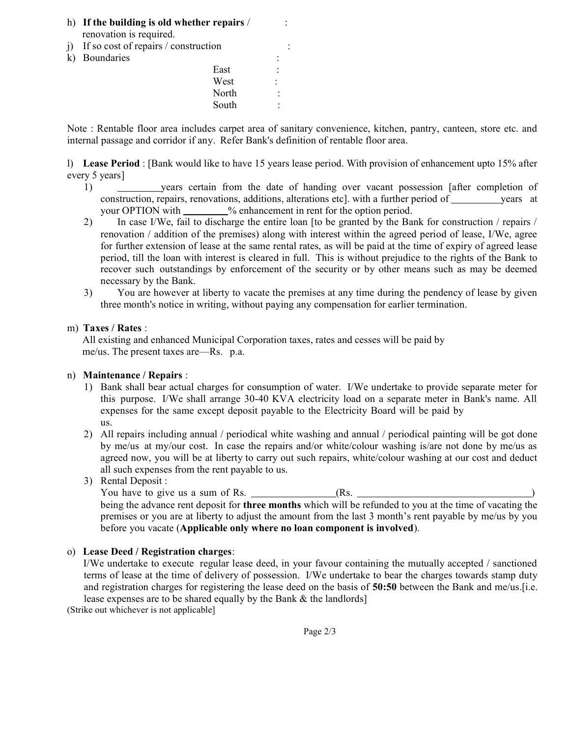- h) **If the building is old whether repairs** / : renovation is required.
- j) If so cost of repairs  $\ell$  construction
- k) Boundaries

East : West . North : South :

Note : Rentable floor area includes carpet area of sanitary convenience, kitchen, pantry, canteen, store etc. and internal passage and corridor if any. Refer Bank's definition of rentable floor area.

l) **Lease Period** : [Bank would like to have 15 years lease period. With provision of enhancement upto 15% after every 5 years]

- 1) years certain from the date of handing over vacant possession [after completion of construction, repairs, renovations, additions, alterations etc. with a further period of years at your OPTION with % enhancement in rent for the option period.
- 2) In case I/We, fail to discharge the entire loan [to be granted by the Bank for construction / repairs / renovation / addition of the premises) along with interest within the agreed period of lease, I/We, agree for further extension of lease at the same rental rates, as will be paid at the time of expiry of agreed lease period, till the loan with interest is cleared in full. This is without prejudice to the rights of the Bank to recover such outstandings by enforcement of the security or by other means such as may be deemed necessary by the Bank.
- 3) You are however at liberty to vacate the premises at any time during the pendency of lease by given three month's notice in writing, without paying any compensation for earlier termination.

## m) **Taxes / Rates** :

All existing and enhanced Municipal Corporation taxes, rates and cesses will be paid by me/us. The present taxes are—Rs. p.a.

# n) **Maintenance / Repairs** :

- 1) Bank shall bear actual charges for consumption of water. I/We undertake to provide separate meter for this purpose. I/We shall arrange 30-40 KVA electricity load on a separate meter in Bank's name. All expenses for the same except deposit payable to the Electricity Board will be paid by us.
- 2) All repairs including annual / periodical white washing and annual / periodical painting will be got done by me/us at my/our cost. In case the repairs and/or white/colour washing is/are not done by me/us as agreed now, you will be at liberty to carry out such repairs, white/colour washing at our cost and deduct all such expenses from the rent payable to us.
- 3) Rental Deposit : You have to give us a sum of Rs. (Rs. being the advance rent deposit for **three months** which will be refunded to you at the time of vacating the premises or you are at liberty to adjust the amount from the last 3 month's rent payable by me/us by you before you vacate (**Applicable only where no loan component is involved**).

### o) **Lease Deed / Registration charges**:

I/We undertake to execute regular lease deed, in your favour containing the mutually accepted / sanctioned terms of lease at the time of delivery of possession. I/We undertake to bear the charges towards stamp duty and registration charges for registering the lease deed on the basis of **50:50** between the Bank and me/us.[i.e. lease expenses are to be shared equally by the Bank & the landlords]

(Strike out whichever is not applicable]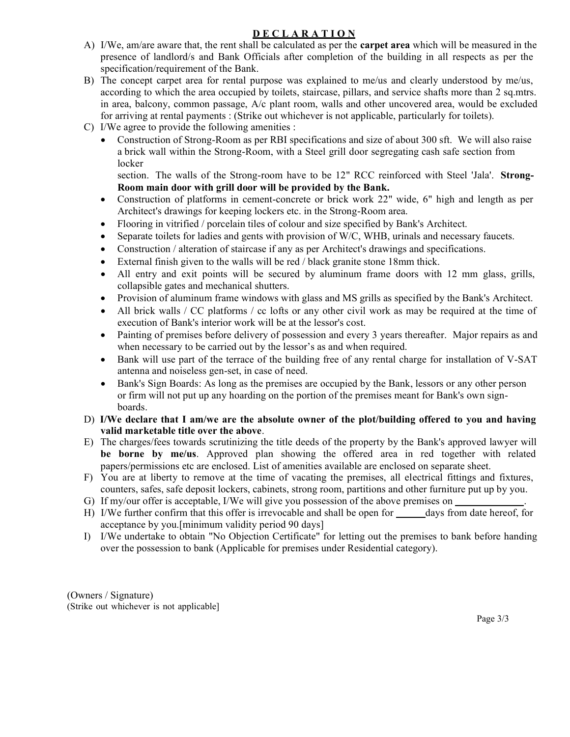# **D E C L A R A T I O N**

- A) I/We, am/are aware that, the rent shall be calculated as per the **carpet area** which will be measured in the presence of landlord/s and Bank Officials after completion of the building in all respects as per the specification/requirement of the Bank.
- B) The concept carpet area for rental purpose was explained to me/us and clearly understood by me/us, according to which the area occupied by toilets, staircase, pillars, and service shafts more than 2 sq.mtrs. in area, balcony, common passage, A/c plant room, walls and other uncovered area, would be excluded for arriving at rental payments : (Strike out whichever is not applicable, particularly for toilets).
- C) I/We agree to provide the following amenities :
	- Construction of Strong-Room as per RBI specifications and size of about 300 sft. We will also raise a brick wall within the Strong-Room, with a Steel grill door segregating cash safe section from locker

section. The walls of the Strong-room have to be 12" RCC reinforced with Steel 'Jala'. **Strong-Room main door with grill door will be provided by the Bank.**

- Construction of platforms in cement-concrete or brick work 22" wide, 6" high and length as per Architect's drawings for keeping lockers etc. in the Strong-Room area.
- Flooring in vitrified / porcelain tiles of colour and size specified by Bank's Architect.
- Separate toilets for ladies and gents with provision of W/C, WHB, urinals and necessary faucets.
- Construction / alteration of staircase if any as per Architect's drawings and specifications.
- External finish given to the walls will be red / black granite stone 18mm thick.
- All entry and exit points will be secured by aluminum frame doors with 12 mm glass, grills, collapsible gates and mechanical shutters.
- Provision of aluminum frame windows with glass and MS grills as specified by the Bank's Architect.
- All brick walls / CC platforms / cc lofts or any other civil work as may be required at the time of execution of Bank's interior work will be at the lessor's cost.
- Painting of premises before delivery of possession and every 3 years thereafter. Major repairs as and when necessary to be carried out by the lessor's as and when required.
- Bank will use part of the terrace of the building free of any rental charge for installation of V-SAT antenna and noiseless gen-set, in case of need.
- Bank's Sign Boards: As long as the premises are occupied by the Bank, lessors or any other person or firm will not put up any hoarding on the portion of the premises meant for Bank's own signboards.
- D) **I/We declare that I am/we are the absolute owner of the plot/building offered to you and having valid marketable title over the above**.
- E) The charges/fees towards scrutinizing the title deeds of the property by the Bank's approved lawyer will **be borne by me/us**. Approved plan showing the offered area in red together with related papers/permissions etc are enclosed. List of amenities available are enclosed on separate sheet.
- F) You are at liberty to remove at the time of vacating the premises, all electrical fittings and fixtures, counters, safes, safe deposit lockers, cabinets, strong room, partitions and other furniture put up by you.
- G) If my/our offer is acceptable, I/We will give you possession of the above premises on .
- H) I/We further confirm that this offer is irrevocable and shall be open for days from date hereof, for acceptance by you.[minimum validity period 90 days]
- I) I/We undertake to obtain "No Objection Certificate" for letting out the premises to bank before handing over the possession to bank (Applicable for premises under Residential category).

(Owners / Signature) (Strike out whichever is not applicable]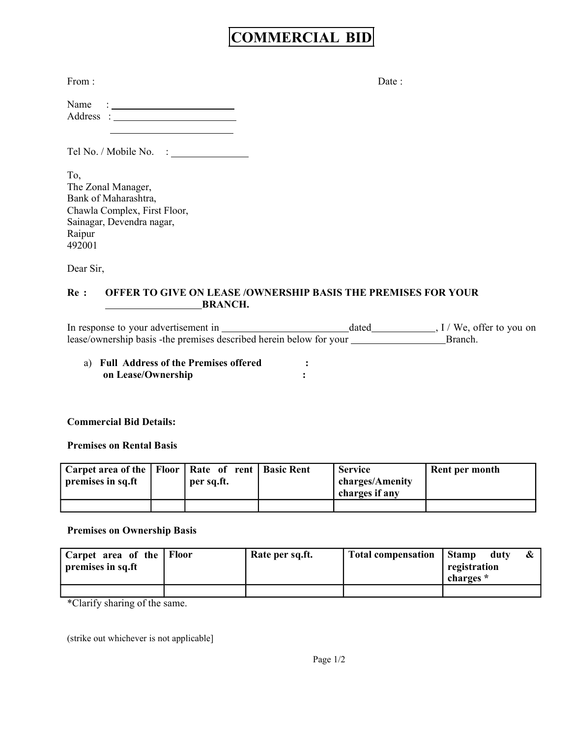# **COMMERCIAL BID**

| From: | Date: |
|-------|-------|
|-------|-------|

| Name      |  |
|-----------|--|
| Address : |  |
|           |  |

Tel No. / Mobile No. :

To, The Zonal Manager, Bank of Maharashtra, Chawla Complex, First Floor, Sainagar, Devendra nagar, Raipur 492001

Dear Sir,

# **Re : OFFER TO GIVE ON LEASE /OWNERSHIP BASIS THE PREMISES FOR YOUR BRANCH.**

In response to your advertisement in dated , I / We, offer to you on lease/ownership basis -the premises described herein below for your Branch.

a) **Full Address of the Premises offered : on Lease/Ownership :**

# **Commercial Bid Details:**

### **Premises on Rental Basis**

| Carpet area of the   Floor   Rate of rent   Basic Rent<br>premises in sq.ft | per sq.ft. | <b>Service</b><br>charges/Amenity<br>charges if any | Rent per month |
|-----------------------------------------------------------------------------|------------|-----------------------------------------------------|----------------|
|                                                                             |            |                                                     |                |

### **Premises on Ownership Basis**

| Carpet area of the Floor<br>premises in sq.ft | Rate per sq.ft. | Total compensation Stamp | registration<br>charges * | duty |  |
|-----------------------------------------------|-----------------|--------------------------|---------------------------|------|--|
|                                               |                 |                          |                           |      |  |

\*Clarify sharing of the same.

(strike out whichever is not applicable]